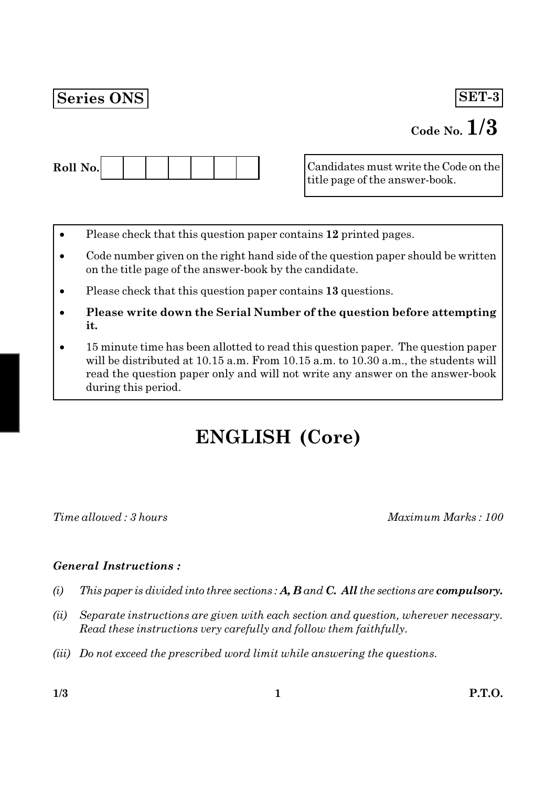# **Series ONS**

# SET-3

# Code No.  $1/3$



Candidates must write the Code on the title page of the answer-book.

- Please check that this question paper contains 12 printed pages.
- Code number given on the right hand side of the question paper should be written on the title page of the answer-book by the candidate.
- Please check that this question paper contains 13 questions.
- Please write down the Serial Number of the question before attempting it.
- 15 minute time has been allotted to read this question paper. The question paper will be distributed at 10.15 a.m. From 10.15 a.m. to 10.30 a.m., the students will read the question paper only and will not write any answer on the answer-book during this period.

# **ENGLISH (Core)**

Time allowed: 3 hours

Maximum Marks: 100

## **General Instructions:**

- This paper is divided into three sections:  $A, B$  and  $C,$  All the sections are compulsory.  $(i)$
- $(ii)$ Separate instructions are given with each section and question, wherever necessary. Read these instructions very carefully and follow them faithfully.
- (iii) Do not exceed the prescribed word limit while answering the questions.

 $1/3$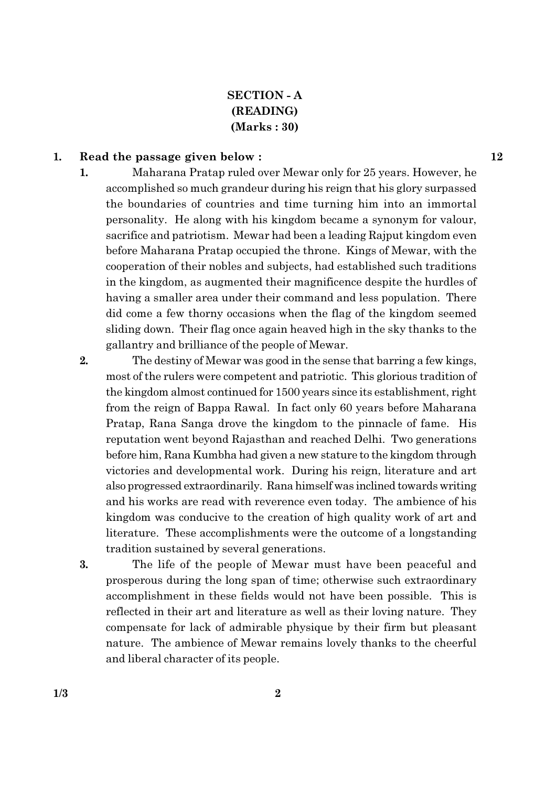## **SECTION - A** (READING)  $(Marks:30)$

#### 1. Read the passage given below:

- $\mathbf{1}$ . Maharana Pratap ruled over Mewar only for 25 years. However, he accomplished so much grandeur during his reign that his glory surpassed the boundaries of countries and time turning him into an immortal personality. He along with his kingdom became a synonym for valour, sacrifice and patriotism. Mewar had been a leading Rajput kingdom even before Maharana Pratap occupied the throne. Kings of Mewar, with the cooperation of their nobles and subjects, had established such traditions in the kingdom, as augmented their magnificence despite the hurdles of having a smaller area under their command and less population. There did come a few thorny occasions when the flag of the kingdom seemed sliding down. Their flag once again heaved high in the sky thanks to the gallantry and brilliance of the people of Mewar.
- $2.$ The destiny of Mewar was good in the sense that barring a few kings, most of the rulers were competent and patriotic. This glorious tradition of the kingdom almost continued for 1500 years since its establishment, right from the reign of Bappa Rawal. In fact only 60 years before Maharana Pratap, Rana Sanga drove the kingdom to the pinnacle of fame. His reputation went beyond Rajasthan and reached Delhi. Two generations before him, Rana Kumbha had given a new stature to the kingdom through victories and developmental work. During his reign, literature and art also progressed extraordinarily. Rana himself was inclined towards writing and his works are read with reverence even today. The ambience of his kingdom was conducive to the creation of high quality work of art and literature. These accomplishments were the outcome of a longstanding tradition sustained by several generations.
- 3. The life of the people of Mewar must have been peaceful and prosperous during the long span of time; otherwise such extraordinary accomplishment in these fields would not have been possible. This is reflected in their art and literature as well as their loving nature. They compensate for lack of admirable physique by their firm but pleasant nature. The ambience of Mewar remains lovely thanks to the cheerful and liberal character of its people.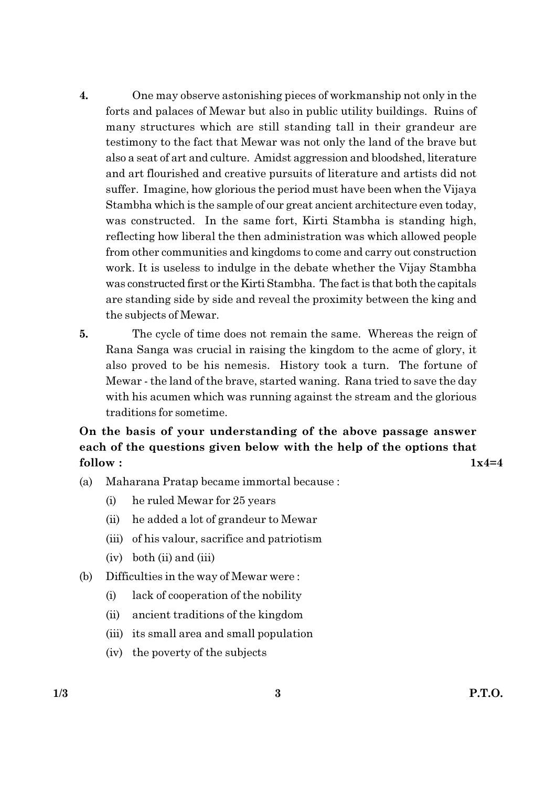- $4.$ One may observe astonishing pieces of workmanship not only in the forts and palaces of Mewar but also in public utility buildings. Ruins of many structures which are still standing tall in their grandeur are testimony to the fact that Mewar was not only the land of the brave but also a seat of art and culture. Amidst aggression and bloodshed, literature and art flourished and creative pursuits of literature and artists did not suffer. Imagine, how glorious the period must have been when the Vijaya Stambha which is the sample of our great ancient architecture even today, was constructed. In the same fort, Kirti Stambha is standing high, reflecting how liberal the then administration was which allowed people from other communities and kingdoms to come and carry out construction work. It is useless to indulge in the debate whether the Vijay Stambha was constructed first or the Kirti Stambha. The fact is that both the capitals are standing side by side and reveal the proximity between the king and the subjects of Mewar.
- 5. The cycle of time does not remain the same. Whereas the reign of Rana Sanga was crucial in raising the kingdom to the acme of glory, it also proved to be his nemesis. History took a turn. The fortune of Mewar - the land of the brave, started waning. Rana tried to save the day with his acumen which was running against the stream and the glorious traditions for sometime.

On the basis of your understanding of the above passage answer each of the questions given below with the help of the options that follow:

 $1x4=4$ 

- $(a)$ Maharana Pratap became immortal because :
	- $(i)$ he ruled Mewar for 25 years
	- he added a lot of grandeur to Mewar  $(ii)$
	- (iii) of his valour, sacrifice and patriotism
	- $(iv)$  both  $(ii)$  and  $(iii)$
- Difficulties in the way of Mewar were:  $(b)$ 
	- lack of cooperation of the nobility  $(i)$
	- ancient traditions of the kingdom  $(ii)$
	- (iii) its small area and small population
	- (iv) the poverty of the subjects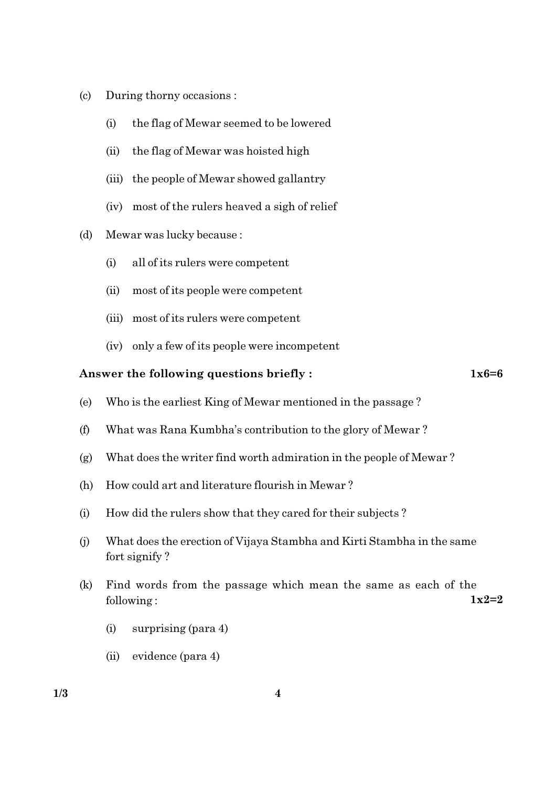- $(c)$ During thorny occasions :
	- the flag of Mewar seemed to be lowered  $(i)$
	- $(ii)$ the flag of Mewar was hoisted high
	- (iii) the people of Mewar showed gallantry
	- (iv) most of the rulers heaved a sigh of relief
- $(d)$ Mewar was lucky because:
	- all of its rulers were competent  $(i)$
	- $(ii)$ most of its people were competent
	- (iii) most of its rulers were competent
	- (iv) only a few of its people were incompetent

#### Answer the following questions briefly:

 $1x6=6$ 

- $(e)$ Who is the earliest King of Mewar mentioned in the passage?
- What was Rana Kumbha's contribution to the glory of Mewar?  $(f)$
- What does the writer find worth admiration in the people of Mewar?  $(g)$
- How could art and literature flourish in Mewar?  $(h)$
- How did the rulers show that they cared for their subjects?  $(i)$
- What does the erection of Vijaya Stambha and Kirti Stambha in the same  $(j)$ fort signify?
- Find words from the passage which mean the same as each of the  $(k)$  $1 \times 2 = 2$ following:
	- $(i)$ surprising (para 4)
	- $(ii)$  evidence (para 4)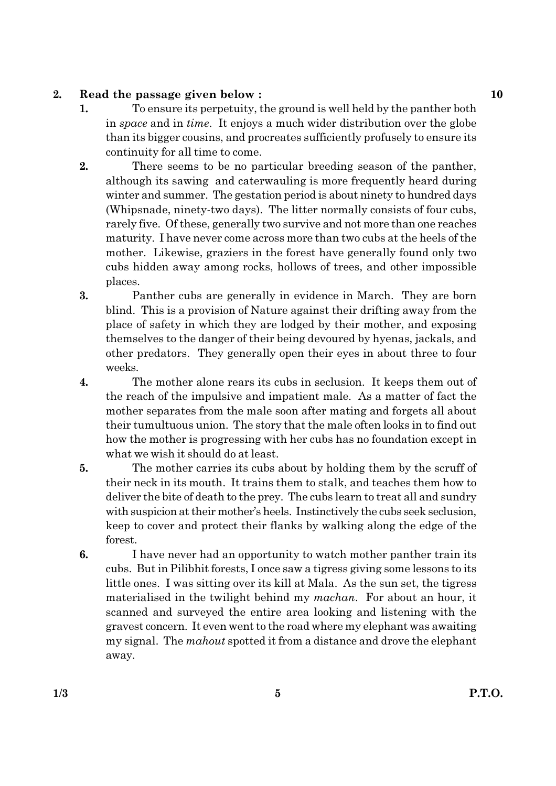#### $2.$ Read the passage given below:

- $\mathbf{1}$ . To ensure its perpetuity, the ground is well held by the panther both in *space* and in *time*. It enjoys a much wider distribution over the globe than its bigger cousins, and procreates sufficiently profusely to ensure its continuity for all time to come.
- $2.$ There seems to be no particular breeding season of the panther, although its sawing and caterwauling is more frequently heard during winter and summer. The gestation period is about ninety to hundred days (Whipsnade, ninety-two days). The litter normally consists of four cubs, rarely five. Of these, generally two survive and not more than one reaches maturity. I have never come across more than two cubs at the heels of the mother. Likewise, graziers in the forest have generally found only two cubs hidden away among rocks, hollows of trees, and other impossible places.
- 3. Panther cubs are generally in evidence in March. They are born blind. This is a provision of Nature against their drifting away from the place of safety in which they are lodged by their mother, and exposing themselves to the danger of their being devoured by hyenas, jackals, and other predators. They generally open their eyes in about three to four weeks.
- $\boldsymbol{4}$ . The mother alone rears its cubs in seclusion. It keeps them out of the reach of the impulsive and impatient male. As a matter of fact the mother separates from the male soon after mating and forgets all about their tumultuous union. The story that the male often looks in to find out how the mother is progressing with her cubs has no foundation except in what we wish it should do at least.
- 5. The mother carries its cubs about by holding them by the scruff of their neck in its mouth. It trains them to stalk, and teaches them how to deliver the bite of death to the prey. The cubs learn to treat all and sundry with suspicion at their mother's heels. Instinctively the cubs seek seclusion, keep to cover and protect their flanks by walking along the edge of the forest.
- I have never had an opportunity to watch mother panther train its 6. cubs. But in Pilibhit forests, I once saw a tigress giving some lessons to its little ones. I was sitting over its kill at Mala. As the sun set, the tigress materialised in the twilight behind my *machan*. For about an hour, it scanned and surveyed the entire area looking and listening with the gravest concern. It even went to the road where my elephant was awaiting my signal. The mahout spotted it from a distance and drove the elephant away.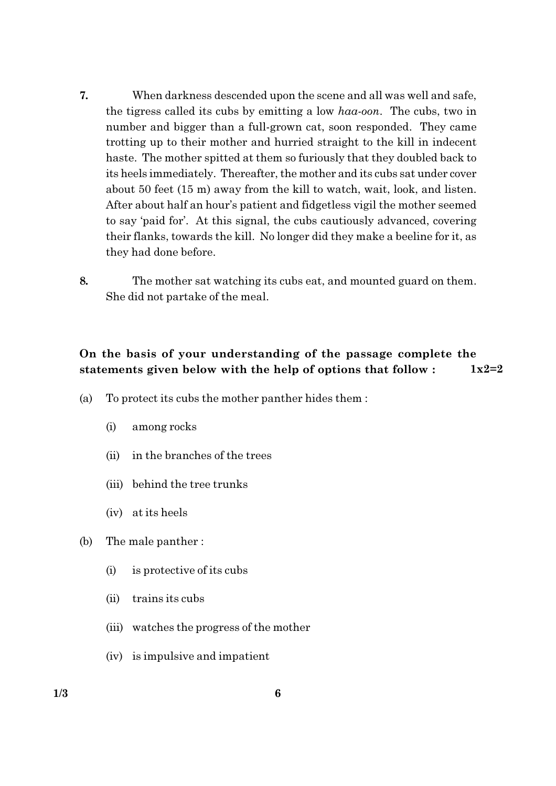- 7. When darkness descended upon the scene and all was well and safe, the tigress called its cubs by emitting a low haa-oon. The cubs, two in number and bigger than a full-grown cat, soon responded. They came trotting up to their mother and hurried straight to the kill in indecent haste. The mother spitted at them so furiously that they doubled back to its heels immediately. Thereafter, the mother and its cubs sat under cover about 50 feet (15 m) away from the kill to watch, wait, look, and listen. After about half an hour's patient and fidgetless vigil the mother seemed to say 'paid for'. At this signal, the cubs cautiously advanced, covering their flanks, towards the kill. No longer did they make a beeline for it, as they had done before.
- 8. The mother sat watching its cubs eat, and mounted guard on them. She did not partake of the meal.

#### On the basis of your understanding of the passage complete the statements given below with the help of options that follow:  $1x2=2$

- To protect its cubs the mother panther hides them:  $(a)$ 
	- $(i)$ among rocks
	- in the branches of the trees  $(ii)$
	- (iii) behind the tree trunks
	- (iv) at its heels
- (b) The male panther:
	- $(i)$ is protective of its cubs
	- trains its cubs  $(ii)$
	- (iii) watches the progress of the mother
	- (iv) is impulsive and impatient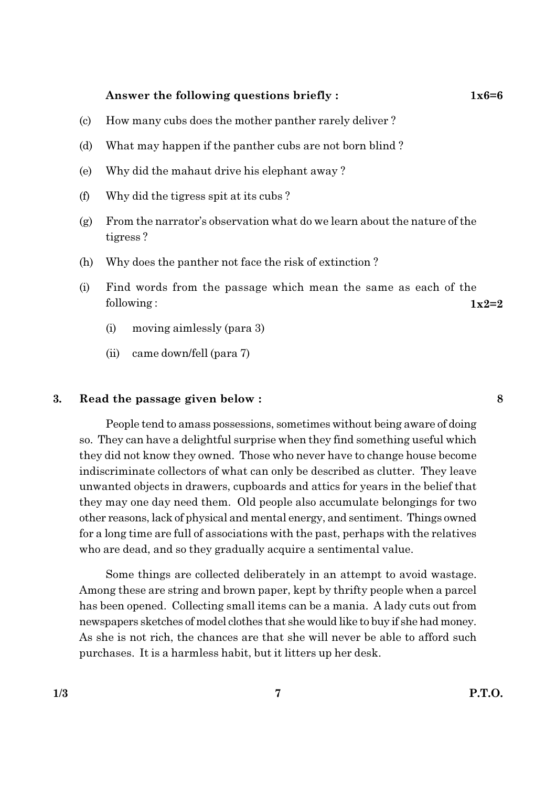#### Answer the following questions briefly:

- $(c)$ How many cubs does the mother panther rarely deliver?
- What may happen if the panther cubs are not born blind? (d)
- Why did the mahaut drive his elephant away?  $(e)$
- Why did the tigress spit at its cubs?  $(f)$
- From the narrator's observation what do we learn about the nature of the  $(g)$ tigress?
- (h) Why does the panther not face the risk of extinction?
- Find words from the passage which mean the same as each of the  $(i)$ following:  $1x2=2$ 
	- $(i)$ moving aimlessly (para 3)
	- $(ii)$ came down/fell (para 7)

#### 3. Read the passage given below:

People tend to amass possessions, sometimes without being aware of doing so. They can have a delightful surprise when they find something useful which they did not know they owned. Those who never have to change house become indiscriminate collectors of what can only be described as clutter. They leave unwanted objects in drawers, cupboards and attics for years in the belief that they may one day need them. Old people also accumulate belongings for two other reasons, lack of physical and mental energy, and sentiment. Things owned for a long time are full of associations with the past, perhaps with the relatives who are dead, and so they gradually acquire a sentimental value.

Some things are collected deliberately in an attempt to avoid wastage. Among these are string and brown paper, kept by thrifty people when a parcel has been opened. Collecting small items can be a mania. A lady cuts out from newspapers sketches of model clothes that she would like to buy if she had money. As she is not rich, the chances are that she will never be able to afford such purchases. It is a harmless habit, but it litters up her desk.

8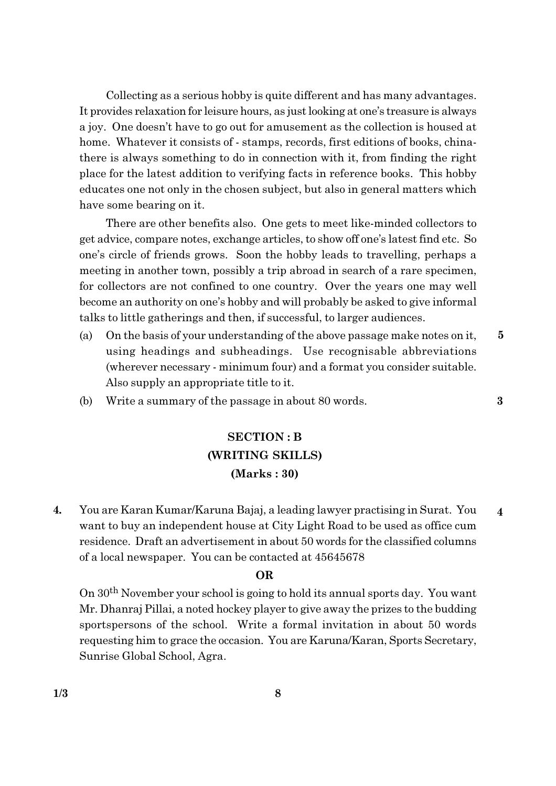Collecting as a serious hobby is quite different and has many advantages. It provides relaxation for leisure hours, as just looking at one's treasure is always a joy. One doesn't have to go out for amusement as the collection is housed at home. Whatever it consists of - stamps, records, first editions of books, chinathere is always something to do in connection with it, from finding the right place for the latest addition to verifying facts in reference books. This hobby educates one not only in the chosen subject, but also in general matters which have some bearing on it.

There are other benefits also. One gets to meet like-minded collectors to get advice, compare notes, exchange articles, to show off one's latest find etc. So one's circle of friends grows. Soon the hobby leads to travelling, perhaps a meeting in another town, possibly a trip abroad in search of a rare specimen, for collectors are not confined to one country. Over the years one may well become an authority on one's hobby and will probably be asked to give informal talks to little gatherings and then, if successful, to larger audiences.

- $\overline{5}$  $(a)$ On the basis of your understanding of the above passage make notes on it, using headings and subheadings. Use recognisable abbreviations (wherever necessary - minimum four) and a format you consider suitable. Also supply an appropriate title to it.
- Write a summary of the passage in about 80 words. (b)

# **SECTION: B** (WRITING SKILLS)  $(Marks:30)$

 $\overline{4}$ . You are Karan Kumar/Karuna Bajaj, a leading lawyer practising in Surat. You  $\overline{\mathbf{4}}$ want to buy an independent house at City Light Road to be used as office cum residence. Draft an advertisement in about 50 words for the classified columns of a local newspaper. You can be contacted at 45645678

#### **OR**

On 30<sup>th</sup> November your school is going to hold its annual sports day. You want Mr. Dhanraj Pillai, a noted hockey player to give away the prizes to the budding sportspersons of the school. Write a formal invitation in about 50 words requesting him to grace the occasion. You are Karuna/Karan, Sports Secretary, Sunrise Global School, Agra.

 $\bf{3}$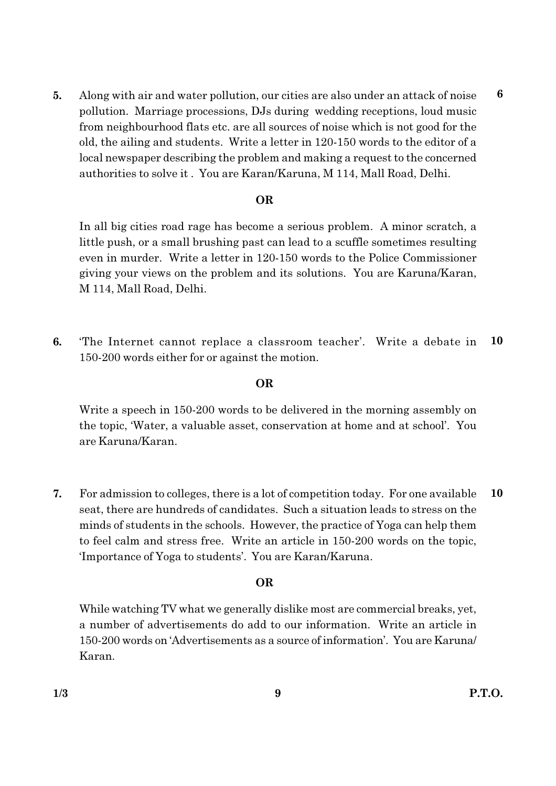5. Along with air and water pollution, our cities are also under an attack of noise pollution. Marriage processions, DJs during wedding receptions, loud music from neighbourhood flats etc. are all sources of noise which is not good for the old, the ailing and students. Write a letter in 120-150 words to the editor of a local newspaper describing the problem and making a request to the concerned authorities to solve it. You are Karan/Karuna, M 114, Mall Road, Delhi.

#### **OR**

In all big cities road rage has become a serious problem. A minor scratch, a little push, or a small brushing past can lead to a scuffle sometimes resulting even in murder. Write a letter in 120-150 words to the Police Commissioner giving your views on the problem and its solutions. You are Karuna/Karan, M 114, Mall Road, Delhi.

6. The Internet cannot replace a classroom teacher'. Write a debate in 10 150-200 words either for or against the motion.

#### **OR**

Write a speech in 150-200 words to be delivered in the morning assembly on the topic, 'Water, a valuable asset, conservation at home and at school'. You are Karuna/Karan.

For admission to colleges, there is a lot of competition today. For one available 10 7. seat, there are hundreds of candidates. Such a situation leads to stress on the minds of students in the schools. However, the practice of Yoga can help them to feel calm and stress free. Write an article in 150-200 words on the topic, 'Importance of Yoga to students'. You are Karan/Karuna.

#### **OR**

While watching TV what we generally dislike most are commercial breaks, yet, a number of advertisements do add to our information. Write an article in 150-200 words on 'Advertisements as a source of information'. You are Karuna Karan.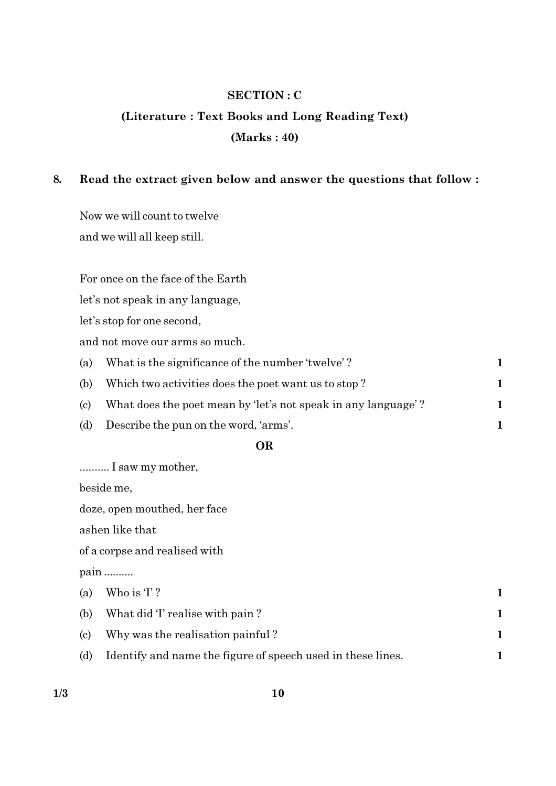## **SECTION: C**

# (Literature: Text Books and Long Reading Text)  $(Marks: 40)$

#### 8. Read the extract given below and answer the questions that follow:

Now we will count to twelve and we will all keep still.

For once on the face of the Earth

let's not speak in any language,

let's stop for one second,

and not move our arms so much.

| (a) | What is the significance of the number 'twelve'?              |  |
|-----|---------------------------------------------------------------|--|
| (b) | Which two activities does the poet want us to stop?           |  |
| (c) | What does the poet mean by 'let's not speak in any language'? |  |
| (d) | Describe the pun on the word, 'arms'.                         |  |

## **OR**

.......... I saw my mother,

beside me,

doze, open mouthed, her face

ashen like that

of a corpse and realised with

pain .........

|     | (a) Who is $T$ ?                                            |  |
|-----|-------------------------------------------------------------|--|
| (b) | What did T realise with pain?                               |  |
| (c) | Why was the realisation painful?                            |  |
| (d) | Identify and name the figure of speech used in these lines. |  |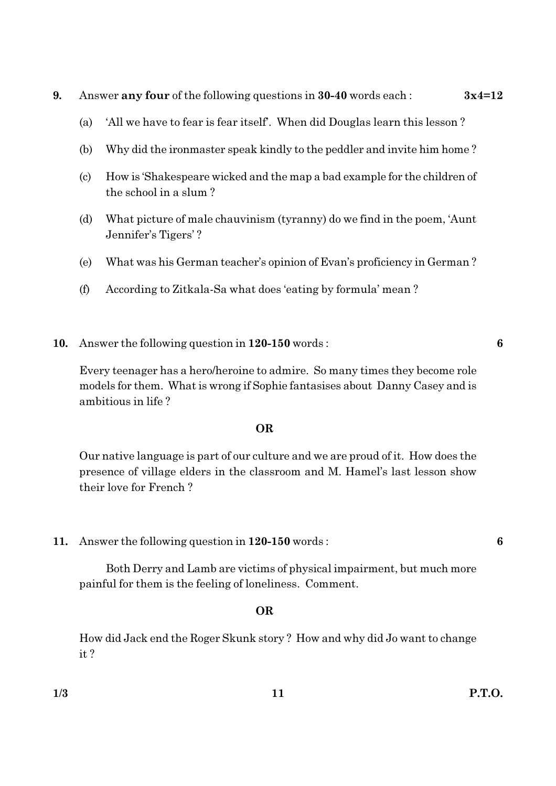- 9. Answer any four of the following questions in 30-40 words each:  $3x4=12$ 
	- 'All we have to fear is fear itself'. When did Douglas learn this lesson?  $(a)$
	- (b) Why did the ironmaster speak kindly to the peddler and invite him home?
	- How is 'Shakespeare wicked and the map a bad example for the children of (c) the school in a slum?
	- $(d)$ What picture of male chauvinism (tyranny) do we find in the poem, 'Aunt Jennifer's Tigers'?
	- (e) What was his German teacher's opinion of Evan's proficiency in German?
	- $(f)$ According to Zitkala-Sa what does 'eating by formula' mean?
- Answer the following question in 120-150 words: **10.**

Every teenager has a hero/heroine to admire. So many times they become role models for them. What is wrong if Sophie fantasises about Danny Casey and is ambitious in life?

#### **OR**

Our native language is part of our culture and we are proud of it. How does the presence of village elders in the classroom and M. Hamel's last lesson show their love for French?

11. Answer the following question in 120-150 words:

Both Derry and Lamb are victims of physical impairment, but much more painful for them is the feeling of loneliness. Comment.

#### **OR**

How did Jack end the Roger Skunk story? How and why did Jo want to change  $it?$ 

6

6